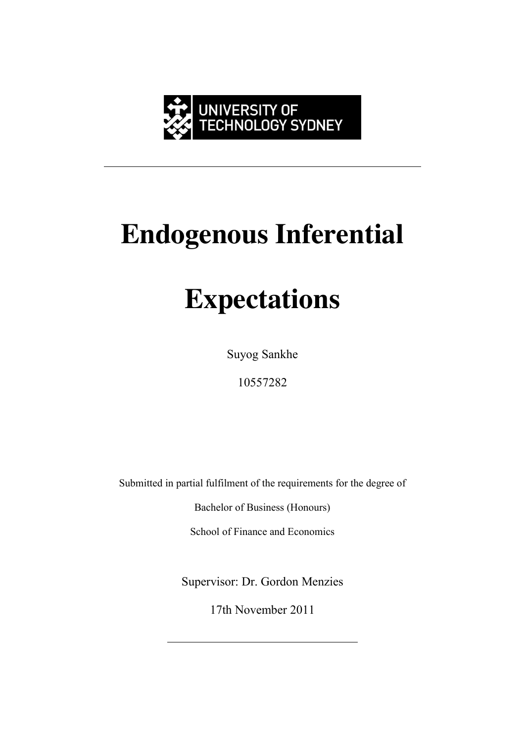

# **Endogenous Inferential**

## **Expectations**

Suyog Sankhe

10557282

Submitted in partial fulfilment of the requirements for the degree of

Bachelor of Business (Honours)

School of Finance and Economics

Supervisor: Dr. Gordon Menzies

17th November 2011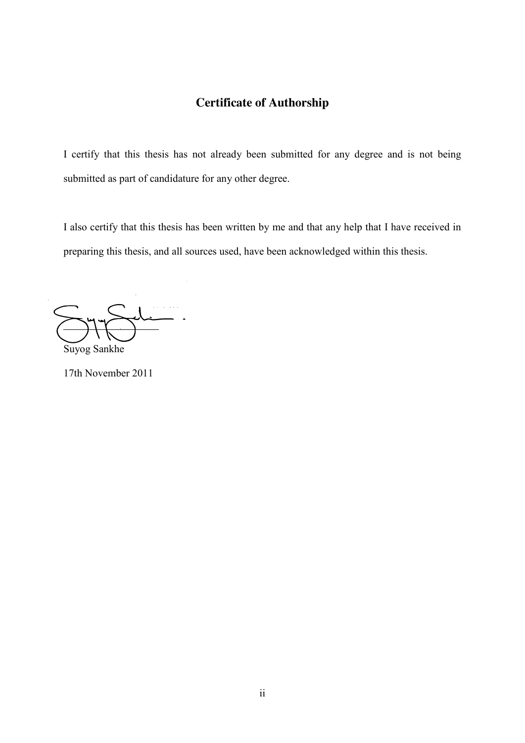### **Certificate of Authorship**

<span id="page-1-0"></span>I certify that this thesis has not already been submitted for any degree and is not being submitted as part of candidature for any other degree.

I also certify that this thesis has been written by me and that any help that I have received in preparing this thesis, and all sources used, have been acknowledged within this thesis.

Suyog Sankhe

17th November 2011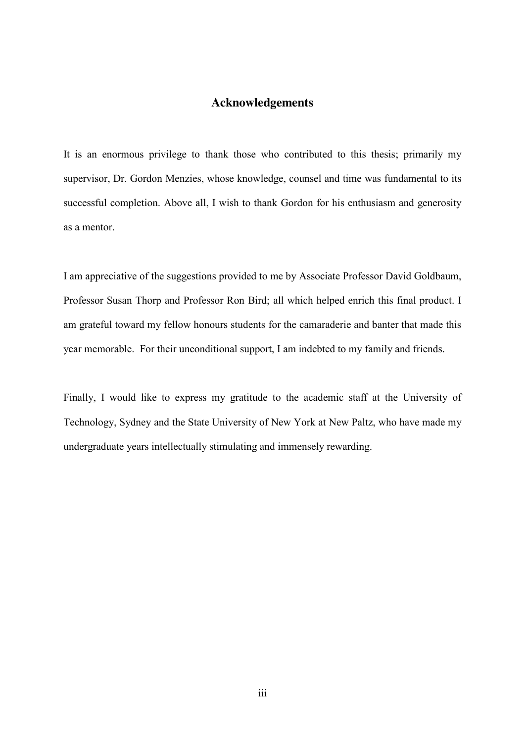#### **Acknowledgements**

<span id="page-2-0"></span>It is an enormous privilege to thank those who contributed to this thesis; primarily my supervisor, Dr. Gordon Menzies, whose knowledge, counsel and time was fundamental to its successful completion. Above all, I wish to thank Gordon for his enthusiasm and generosity as a mentor.

I am appreciative of the suggestions provided to me by Associate Professor David Goldbaum, Professor Susan Thorp and Professor Ron Bird; all which helped enrich this final product. I am grateful toward my fellow honours students for the camaraderie and banter that made this year memorable. For their unconditional support, I am indebted to my family and friends.

Finally, I would like to express my gratitude to the academic staff at the University of Technology, Sydney and the State University of New York at New Paltz, who have made my undergraduate years intellectually stimulating and immensely rewarding.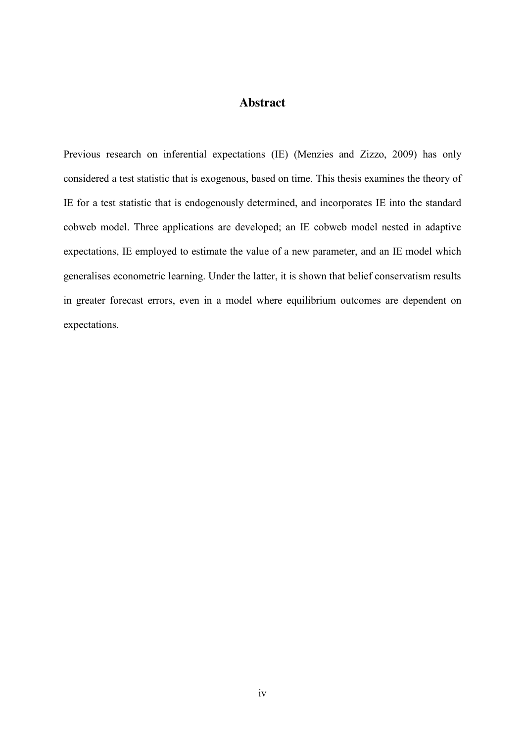#### **Abstract**

<span id="page-3-0"></span>Previous research on inferential expectations (IE) (Menzies and Zizzo, 2009) has only considered a test statistic that is exogenous, based on time. This thesis examines the theory of IE for a test statistic that is endogenously determined, and incorporates IE into the standard cobweb model. Three applications are developed; an IE cobweb model nested in adaptive expectations, IE employed to estimate the value of a new parameter, and an IE model which generalises econometric learning. Under the latter, it is shown that belief conservatism results in greater forecast errors, even in a model where equilibrium outcomes are dependent on expectations.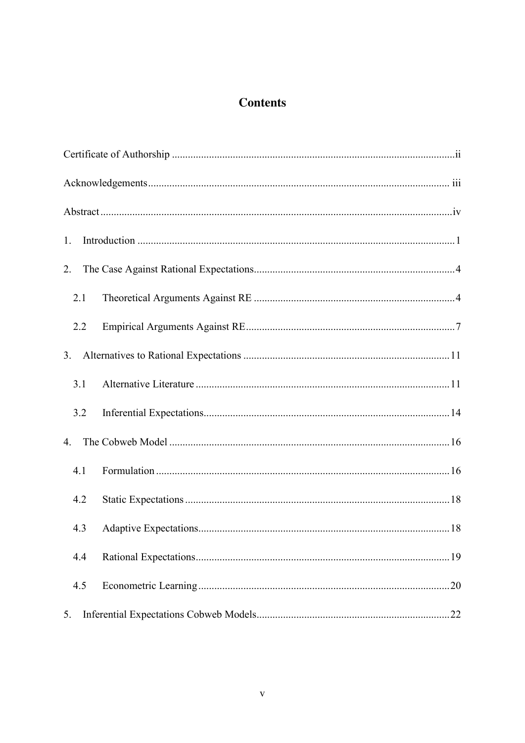### **Contents**

| 1.  |     |
|-----|-----|
| 2.  |     |
| 2.1 |     |
| 2.2 |     |
| 3.  |     |
| 3.1 |     |
| 3.2 |     |
| 4.  |     |
| 4.1 |     |
| 4.2 |     |
| 4.3 |     |
| 4.4 | .19 |
| 4.5 | .20 |
| 5.  |     |